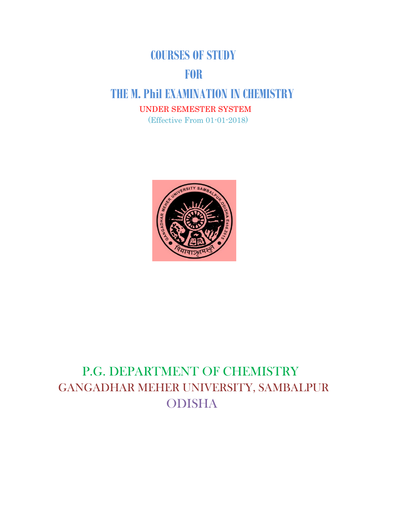## **COURSES OF STUDY**

# **EXECUTE:**

# **THE M. Phil EXAMINATION IN CHEMISTRY**

UNDER SEMESTER SYSTEM

(Effective From 01-01-2018)



# P.G. DEPARTMENT OF CHEMISTRY GANGADHAR MEHER UNIVERSITY, SAMBALPUR ODISHA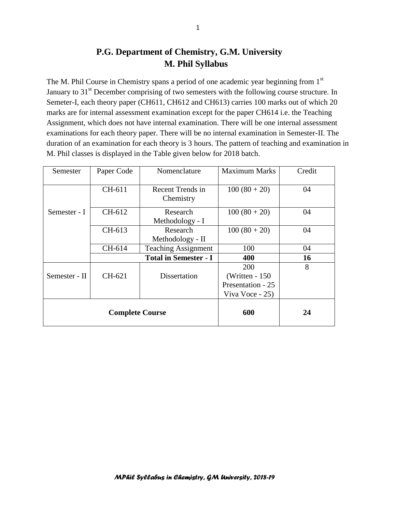## **P.G. Department of Chemistry, G.M. University M. Phil Syllabus**

The M. Phil Course in Chemistry spans a period of one academic year beginning from 1<sup>st</sup> January to 31<sup>st</sup> December comprising of two semesters with the following course structure. In Semeter-I, each theory paper (CH611, CH612 and CH613) carries 100 marks out of which 20 marks are for internal assessment examination except for the paper CH614 i.e. the Teaching Assignment, which does not have internal examination. There will be one internal assessment examinations for each theory paper. There will be no internal examination in Semester-II. The duration of an examination for each theory is 3 hours. The pattern of teaching and examination in M. Phil classes is displayed in the Table given below for 2018 batch.

| Semester               | Paper Code | Nomenclature                  | <b>Maximum Marks</b>                                            | Credit |
|------------------------|------------|-------------------------------|-----------------------------------------------------------------|--------|
|                        | CH-611     | Recent Trends in<br>Chemistry | $100(80+20)$                                                    | 04     |
| Semester - I           | CH-612     | Research<br>Methodology - I   | $100(80+20)$                                                    | 04     |
|                        | CH-613     | Research<br>Methodology - II  | $100(80+20)$                                                    | 04     |
|                        | CH-614     | <b>Teaching Assignment</b>    | 100                                                             | 04     |
|                        |            | <b>Total in Semester - I</b>  | 400                                                             | 16     |
| Semester - II          | $CH-621$   | Dissertation                  | 200<br>(Written - $150$<br>Presentation - 25<br>Viva Voce - 25) | 8      |
| <b>Complete Course</b> |            |                               | 600                                                             | 24     |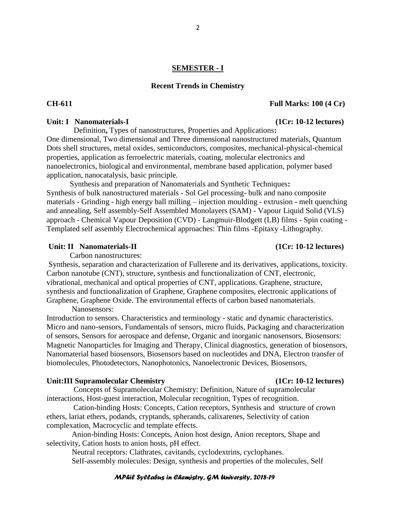### **SEMESTER - I**

#### **Recent Trends in Chemistry**

Definition**,** Types of nanostructures, Properties and Applications**:** One dimensional, Two dimensional and Three dimensional nanostructured materials, Quantum Dots shell structures, metal oxides, semiconductors, composites, mechanical-physical-chemical properties, application as ferroelectric materials, coating, molecular electronics and nanoelectronics, biological and environmental, membrane based application, polymer based application, nanocatalysis, basic principle.

 Synthesis and preparation of Nanomaterials and Synthetic Techniques**:**  Synthesis of bulk nanostructured materials - Sol Gel processing- bulk and nano composite materials - Grinding - high energy ball milling – injection moulding - extrusion - melt quenching and annealing, Self assembly-Self Assembled Monolayers (SAM) - Vapour Liquid Solid (VLS) approach - Chemical Vapour Deposition (CVD) - Langmuir-Blodgett (LB) films - Spin coating - Templated self assembly Electrochemical approaches: Thin films -Epitaxy -Lithography.

#### Unit: II Nanomaterials-II *(1Cr: 10-12 lectures)*

Carbon nanostructures:

Synthesis, separation and characterization of Fullerene and its derivatives, applications, toxicity. Carbon nanotube (CNT), structure, synthesis and functionalization of CNT, electronic, vibrational, mechanical and optical properties of CNT, applications. Graphene, structure, synthesis and functionalization of Graphene, Graphene composites, electronic applications of Graphene, Graphene Oxide. The environmental effects of carbon based nanomaterials.

Nanosensors:

Introduction to sensors. Characteristics and terminology - static and dynamic characteristics. Micro and nano-sensors, Fundamentals of sensors, micro fluids, Packaging and characterization of sensors, Sensors for aerospace and defense, Organic and inorganic nanosensors, Biosensors: Magnetic Nanoparticles for Imaging and Therapy, Clinical diagnostics, generation of biosensors, Nanomaterial based biosensors, Biosensors based on nucleotides and DNA, Electron transfer of biomolecules, Photodetectors, Nanophotonics, Nanoelectronic Devices, Biosensors,

#### Unit:III Supramolecular Chemistry (1Cr: 10-12 lectures)

Concepts of Supramolecular Chemistry: Definition, Nature of supramolecular interactions, Host-guest interaction, Molecular recognition, Types of recognition.

 Cation-binding Hosts: Concepts, Cation receptors, Synthesis and structure of crown ethers, lariat ethers, podands, cryptands, spherands, calixarenes, Selectivity of cation complexation, Macrocyclic and template effects.

 Anion-binding Hosts: Concepts, Anion host design, Anion receptors, Shape and selectivity, Cation hosts to anion hosts, pH effect.

 Neutral receptors: Clathrates, cavitands, cyclodextrins, cyclophanes. Self-assembly molecules: Design, synthesis and properties of the molecules, Self

### *MPhil Syllabus in Chemistry, GM University, 2018-19*

### **CH-611 Full Marks: 100 (4 Cr)**

### Unit: I Nanomaterials-I (1Cr: 10-12 lectures)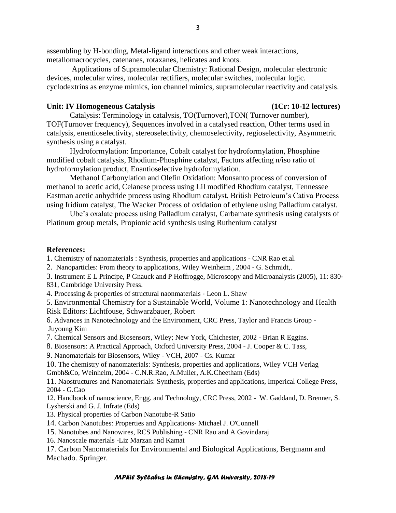assembling by H-bonding, Metal-ligand interactions and other weak interactions, metallomacrocycles, catenanes, rotaxanes, helicates and knots.

 Applications of Supramolecular Chemistry: Rational Design, molecular electronic devices, molecular wires, molecular rectifiers, molecular switches, molecular logic. cyclodextrins as enzyme mimics, ion channel mimics, supramolecular reactivity and catalysis.

#### Unit: IV Homogeneous Catalysis (1Cr: 10-12 lectures)

Catalysis: Terminology in catalysis, TO(Turnover),TON( Turnover number), TOF(Turnover frequency), Sequences involved in a catalysed reaction, Other terms used in catalysis, enentioselectivity, stereoselectivity, chemoselectivity, regioselectivity, Asymmetric synthesis using a catalyst.

 Hydroformylation: Importance, Cobalt catalyst for hydroformylation, Phosphine modified cobalt catalysis, Rhodium-Phosphine catalyst, Factors affecting n/iso ratio of hydroformylation product, Enantioselective hydroformylation.

 Methanol Carbonylation and Olefin Oxidation: Monsanto process of conversion of methanol to acetic acid, Celanese process using LiI modified Rhodium catalyst, Tennessee Eastman acetic anhydride process using Rhodium catalyst, British Petroleum's Cativa Process using Iridium catalyst, The Wacker Process of oxidation of ethylene using Palladium catalyst.

 Ube's oxalate process using Palladium catalyst, Carbamate synthesis using catalysts of Platinum group metals, Propionic acid synthesis using Ruthenium catalyst

#### **References:**

1. Chemistry of nanomaterials : Synthesis, properties and applications - CNR Rao et.al.

2. Nanoparticles: From theory to applications, Wiley Weinheim , 2004 - G. Schmidt,.

3. Instrument E L Principe, P Gnauck and P Hoffrogge, Microscopy and Microanalysis (2005), 11: 830‐ 831, Cambridge University Press.

4. Processing & properties of structural naonmaterials ‐ Leon L. Shaw

5. Environmental Chemistry for a Sustainable World, Volume 1: Nanotechnology and Health Risk Editors: Lichtfouse, Schwarzbauer, Robert

6. Advances in Nanotechnology and the Environment, CRC Press, Taylor and Francis Group - Juyoung Kim

7. Chemical Sensors and Biosensors, Wiley; New York, Chichester, 2002 - Brian R Eggins.

8. Biosensors: A Practical Approach, Oxford University Press, 2004 - J. Cooper & C. Tass,

9. Nanomaterials for Biosensors, Wiley - VCH, 2007 - Cs. Kumar

10. The chemistry of nanomaterials: Synthesis, properties and applications, Wiley VCH Verlag Gmbh&Co, Weinheim, 2004 - C.N.R.Rao, A.Muller, A.K.Cheetham (Eds)

11. Naostructures and Nanomaterials: Synthesis, properties and applications, Imperical College Press, 2004 - G.Cao

12. Handbook of nanoscience, Engg. and Technology, CRC Press, 2002 - W. Gaddand, D. Brenner, S. Lysherski and G. J. Infrate (Eds)

13. Physical properties of Carbon Nanotube-R Satio

14. Carbon Nanotubes: Properties and Applications- Michael J. O'Connell

15. Nanotubes and Nanowires, RCS Publishing - CNR Rao and A Govindaraj

16. Nanoscale materials -Liz Marzan and Kamat

17. Carbon Nanomaterials for Environmental and Biological Applications, Bergmann and Machado. Springer.

#### *MPhil Syllabus in Chemistry, GM University, 2018-19*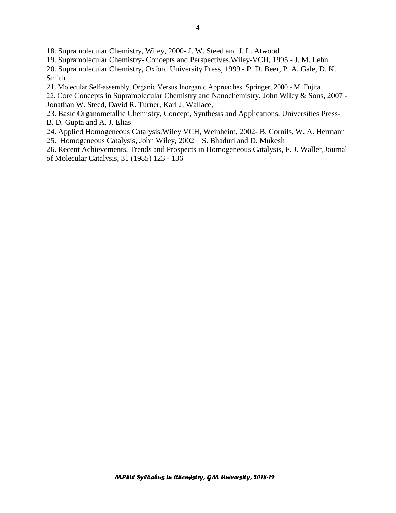18. Supramolecular Chemistry, Wiley, 2000- J. W. Steed and J. L. Atwood

19. Supramolecular Chemistry- Concepts and Perspectives,Wiley-VCH, 1995 - J. M. Lehn

20. Supramolecular Chemistry, Oxford University Press, 1999 - P. D. Beer, P. A. Gale, D. K. Smith

21. Molecular Self-assembly, Organic Versus Inorganic Approaches, Springer, 2000 - M. Fujita

22. Core Concepts in Supramolecular Chemistry and Nanochemistry, John Wiley & Sons, 2007 - Jonathan W. Steed, David R. Turner, Karl J. Wallace,

23. Basic Organometallic Chemistry, Concept, Synthesis and Applications, Universities Press-B. D. Gupta and A. J. Elias

24. Applied Homogeneous Catalysis,Wiley VCH, Weinheim, 2002- B. Cornils, W. A. Hermann 25. Homogeneous Catalysis, John Wiley, 2002 – S. Bhaduri and D. Mukesh

26. Recent Achievements, Trends and Prospects in Homogeneous Catalysis, F. J. Waller, Journal of Molecular Catalysis, 31 (1985) 123 - 136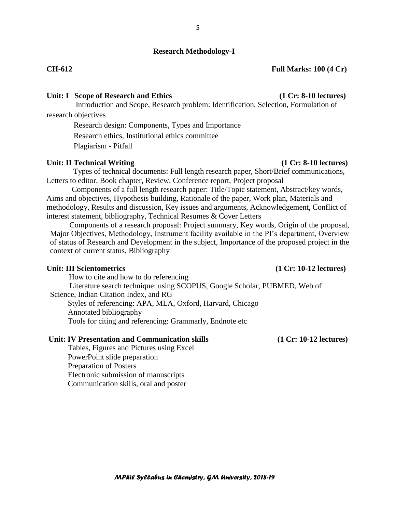### **Research Methodology-I**

5

#### **CH-612 Full Marks: 100 (4 Cr)**

### **Unit: I Scope of Research and Ethics (1 Cr: 8-10 lectures)**

Introduction and Scope, Research problem: Identification, Selection, Formulation of research objectives

Research design: Components, Types and Importance

Research ethics, Institutional ethics committee

Plagiarism - Pitfall

#### **Unit: II Technical Writing (1 Cr: 8-10 lectures)**

 Types of technical documents: Full length research paper, Short/Brief communications, Letters to editor, Book chapter, Review, Conference report, Project proposal

 Components of a full length research paper: Title/Topic statement, Abstract/key words, Aims and objectives, Hypothesis building, Rationale of the paper, Work plan, Materials and methodology, Results and discussion, Key issues and arguments, Acknowledgement, Conflict of interest statement, bibliography, Technical Resumes & Cover Letters

 Components of a research proposal: Project summary, Key words, Origin of the proposal, Major Objectives, Methodology, Instrument facility available in the PI's department, Overview of status of Research and Development in the subject, Importance of the proposed project in the context of current status, Bibliography

#### Unit: III Scientometrics (1 Cr: 10-12 lectures)

### How to cite and how to do referencing Literature search technique: using SCOPUS, Google Scholar, PUBMED, Web of Science, Indian Citation Index, and RG Styles of referencing: APA, MLA, Oxford, Harvard, Chicago Annotated bibliography Tools for citing and referencing: Grammarly, Endnote etc

**Unit: IV Presentation and Communication skills (1 Cr: 10-12 lectures)**

Tables, Figures and Pictures using Excel PowerPoint slide preparation Preparation of Posters Electronic submission of manuscripts Communication skills, oral and poster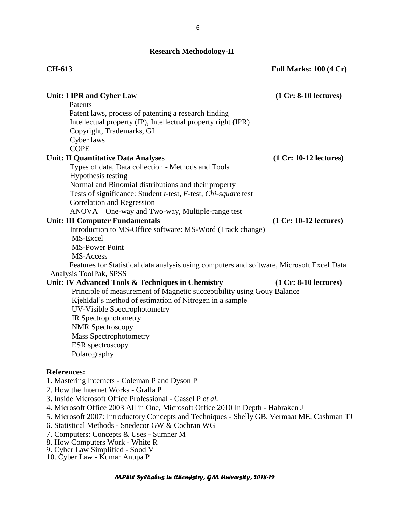## **Research Methodology-II**

| <b>CH-613</b>                                                                               | <b>Full Marks: 100 (4 Cr)</b> |
|---------------------------------------------------------------------------------------------|-------------------------------|
| <b>Unit: I IPR and Cyber Law</b>                                                            | $(1 Cr: 8-10 lectures)$       |
| Patents                                                                                     |                               |
| Patent laws, process of patenting a research finding                                        |                               |
| Intellectual property (IP), Intellectual property right (IPR)                               |                               |
| Copyright, Trademarks, GI                                                                   |                               |
| Cyber laws<br><b>COPE</b>                                                                   |                               |
| <b>Unit: II Quantitative Data Analyses</b>                                                  | $(1 Cr: 10-12$ lectures)      |
| Types of data, Data collection - Methods and Tools                                          |                               |
| Hypothesis testing                                                                          |                               |
| Normal and Binomial distributions and their property                                        |                               |
| Tests of significance: Student <i>t</i> -test, <i>F</i> -test, <i>Chi-square</i> test       |                               |
| <b>Correlation and Regression</b>                                                           |                               |
| ANOVA – One-way and Two-way, Multiple-range test                                            |                               |
| <b>Unit: III Computer Fundamentals</b>                                                      | $(1 Cr: 10-12$ lectures)      |
| Introduction to MS-Office software: MS-Word (Track change)                                  |                               |
| MS-Excel                                                                                    |                               |
| <b>MS-Power Point</b>                                                                       |                               |
| MS-Access                                                                                   |                               |
| Features for Statistical data analysis using computers and software, Microsoft Excel Data   |                               |
| Analysis ToolPak, SPSS                                                                      |                               |
| Unit: IV Advanced Tools & Techniques in Chemistry                                           | $(1 Cr: 8-10 lectures)$       |
| Principle of measurement of Magnetic succeptibility using Gouy Balance                      |                               |
| Kjehldal's method of estimation of Nitrogen in a sample                                     |                               |
| <b>UV-Visible Spectrophotometry</b>                                                         |                               |
| IR Spectrophotometry                                                                        |                               |
| <b>NMR</b> Spectroscopy                                                                     |                               |
| <b>Mass Spectrophotometry</b>                                                               |                               |
| ESR spectroscopy<br>Polarography                                                            |                               |
|                                                                                             |                               |
| <b>References:</b>                                                                          |                               |
| 1. Mastering Internets - Coleman P and Dyson P                                              |                               |
| 2. How the Internet Works - Gralla P                                                        |                               |
| 3. Inside Microsoft Office Professional - Cassel P et al.                                   |                               |
| 4. Microsoft Office 2003 All in One, Microsoft Office 2010 In Depth - Habraken J            |                               |
| 5. Microsoft 2007: Introductory Concepts and Techniques - Shelly GB, Vermaat ME, Cashman TJ |                               |
| 6. Statistical Methods - Snedecor GW & Cochran WG                                           |                               |
| 7. Computers: Concepts & Uses - Sumner M                                                    |                               |
| 8. How Computers Work - White R                                                             |                               |
| 9. Cyber Law Simplified - Sood V                                                            |                               |

10. Cyber Law - Kumar Anupa P